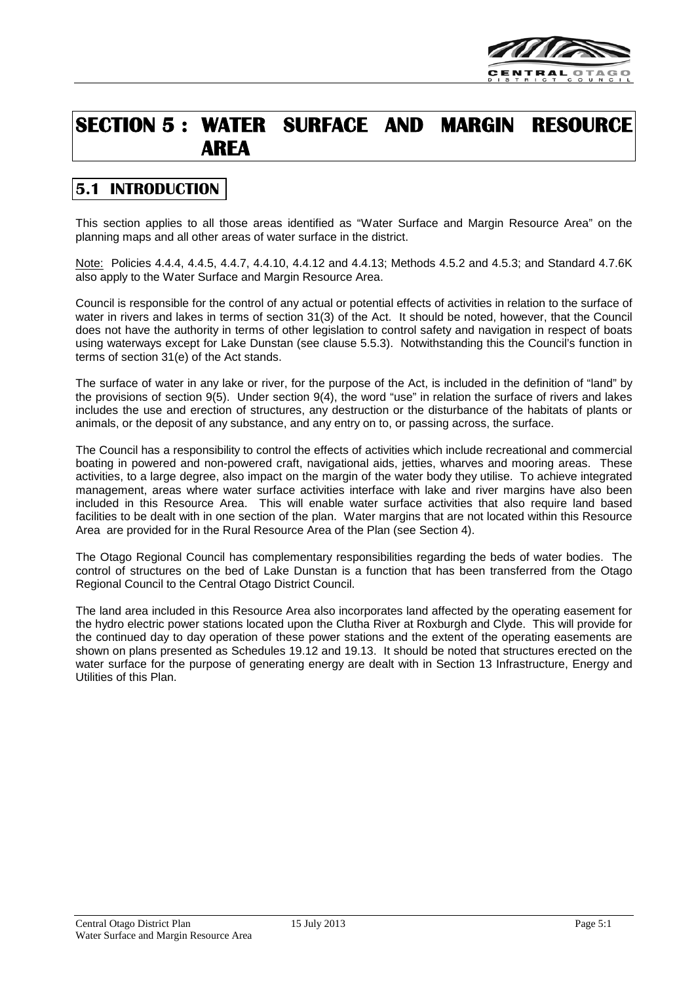

# **SECTION 5 : WATER SURFACE AND MARGIN RESOURCE AREA**

# **5.1 INTRODUCTION**

This section applies to all those areas identified as "Water Surface and Margin Resource Area" on the planning maps and all other areas of water surface in the district.

Note: Policies 4.4.4, 4.4.5, 4.4.7, 4.4.10, 4.4.12 and 4.4.13; Methods 4.5.2 and 4.5.3; and Standard 4.7.6K also apply to the Water Surface and Margin Resource Area.

Council is responsible for the control of any actual or potential effects of activities in relation to the surface of water in rivers and lakes in terms of section 31(3) of the Act. It should be noted, however, that the Council does not have the authority in terms of other legislation to control safety and navigation in respect of boats using waterways except for Lake Dunstan (see clause 5.5.3). Notwithstanding this the Council's function in terms of section 31(e) of the Act stands.

The surface of water in any lake or river, for the purpose of the Act, is included in the definition of "land" by the provisions of section 9(5). Under section 9(4), the word "use" in relation the surface of rivers and lakes includes the use and erection of structures, any destruction or the disturbance of the habitats of plants or animals, or the deposit of any substance, and any entry on to, or passing across, the surface.

The Council has a responsibility to control the effects of activities which include recreational and commercial boating in powered and non-powered craft, navigational aids, jetties, wharves and mooring areas. These activities, to a large degree, also impact on the margin of the water body they utilise. To achieve integrated management, areas where water surface activities interface with lake and river margins have also been included in this Resource Area. This will enable water surface activities that also require land based facilities to be dealt with in one section of the plan. Water margins that are not located within this Resource Area are provided for in the Rural Resource Area of the Plan (see Section 4).

The Otago Regional Council has complementary responsibilities regarding the beds of water bodies. The control of structures on the bed of Lake Dunstan is a function that has been transferred from the Otago Regional Council to the Central Otago District Council.

The land area included in this Resource Area also incorporates land affected by the operating easement for the hydro electric power stations located upon the Clutha River at Roxburgh and Clyde. This will provide for the continued day to day operation of these power stations and the extent of the operating easements are shown on plans presented as Schedules 19.12 and 19.13. It should be noted that structures erected on the water surface for the purpose of generating energy are dealt with in Section 13 Infrastructure, Energy and Utilities of this Plan.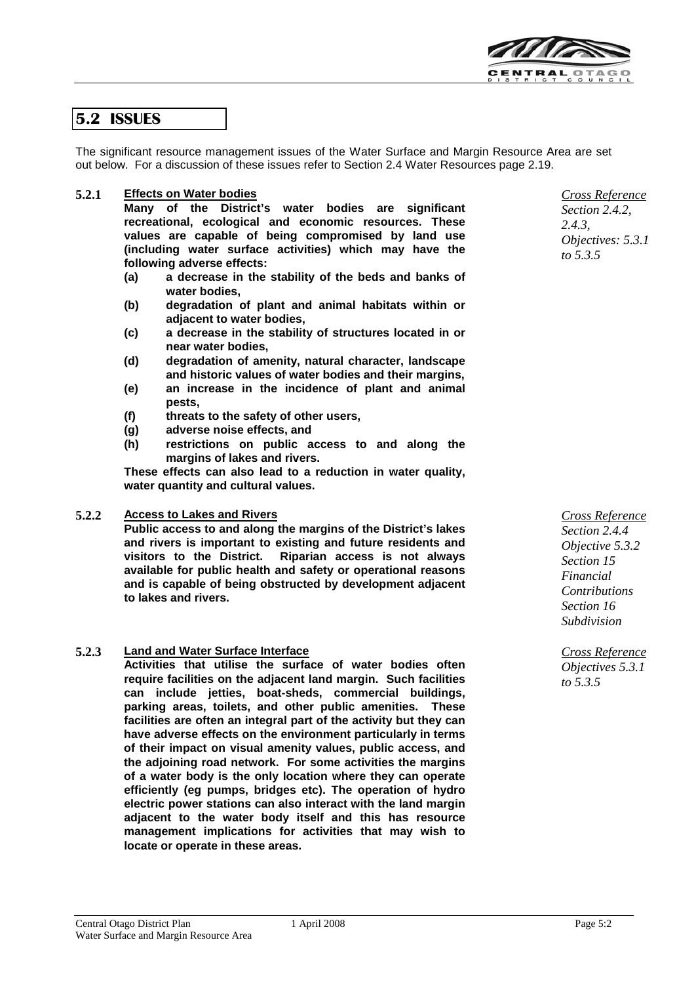

## **5.2 ISSUES**

The significant resource management issues of the Water Surface and Margin Resource Area are set out below. For a discussion of these issues refer to Section 2.4 Water Resources page 2.19.

#### **5.2.1 Effects on Water bodies**

**Many of the District's water bodies are significant recreational, ecological and economic resources. These values are capable of being compromised by land use (including water surface activities) which may have the following adverse effects:**

- **(a) a decrease in the stability of the beds and banks of water bodies,**
- **(b) degradation of plant and animal habitats within or adjacent to water bodies,**
- **(c) a decrease in the stability of structures located in or near water bodies,**
- **(d) degradation of amenity, natural character, landscape and historic values of water bodies and their margins,**
- **(e) an increase in the incidence of plant and animal pests,**
- **(f) threats to the safety of other users,**
- **(g) adverse noise effects, and**
- **(h) restrictions on public access to and along the margins of lakes and rivers.**

**These effects can also lead to a reduction in water quality, water quantity and cultural values.**

#### **5.2.2 Access to Lakes and Rivers**

**Public access to and along the margins of the District's lakes and rivers is important to existing and future residents and visitors to the District. Riparian access is not always available for public health and safety or operational reasons and is capable of being obstructed by development adjacent to lakes and rivers.**

#### **5.2.3 Land and Water Surface Interface**

**Activities that utilise the surface of water bodies often require facilities on the adjacent land margin. Such facilities can include jetties, boat-sheds, commercial buildings, parking areas, toilets, and other public amenities. These facilities are often an integral part of the activity but they can have adverse effects on the environment particularly in terms of their impact on visual amenity values, public access, and the adjoining road network. For some activities the margins of a water body is the only location where they can operate efficiently (eg pumps, bridges etc). The operation of hydro electric power stations can also interact with the land margin adjacent to the water body itself and this has resource management implications for activities that may wish to locate or operate in these areas.**

*Cross Reference Section 2.4.2, 2.4.3,*

*Objectives: 5.3.1 to 5.3.5*

*Cross Reference Section 2.4.4 Objective 5.3.2 Section 15 Financial Contributions Section 16 Subdivision*

*Cross Reference Objectives 5.3.1 to 5.3.5*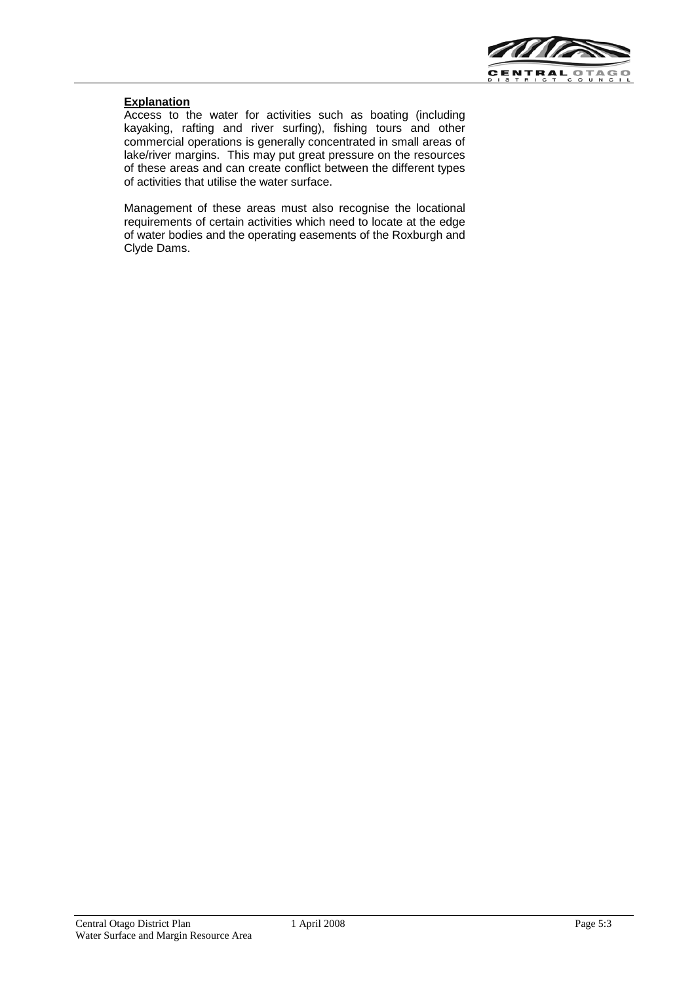

#### **Explanation**

Access to the water for activities such as boating (including kayaking, rafting and river surfing), fishing tours and other commercial operations is generally concentrated in small areas of lake/river margins. This may put great pressure on the resources of these areas and can create conflict between the different types of activities that utilise the water surface.

Management of these areas must also recognise the locational requirements of certain activities which need to locate at the edge of water bodies and the operating easements of the Roxburgh and Clyde Dams.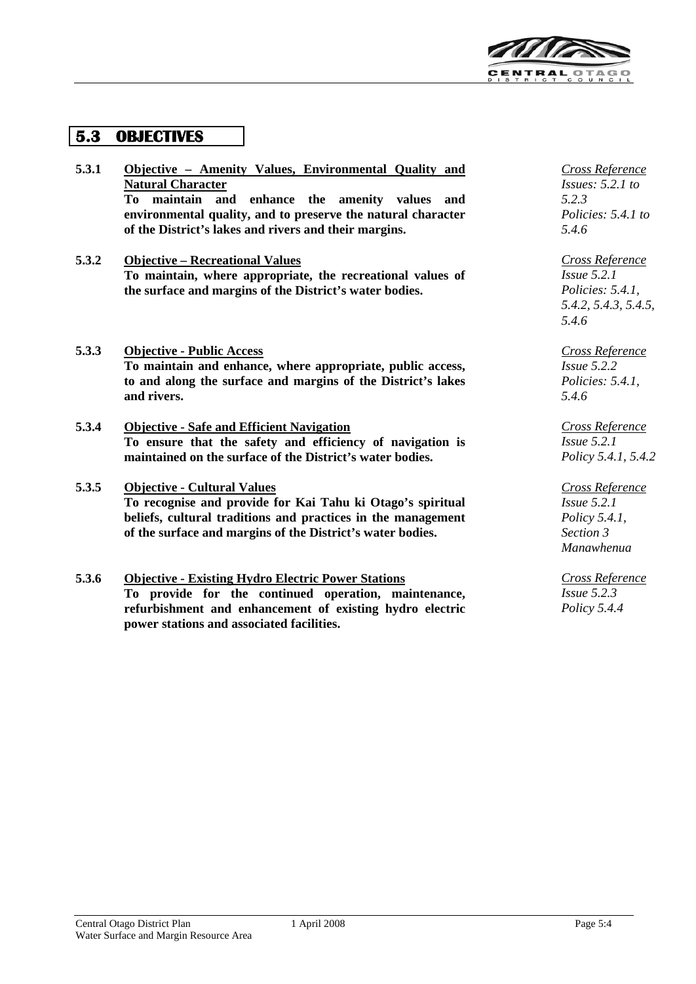

## **5.3 OBJECTIVES**

| 5.3.1 | Objective – Amenity Values, Environmental Quality and        |
|-------|--------------------------------------------------------------|
|       | <b>Natural Character</b>                                     |
|       | To maintain and enhance the amenity values<br>and            |
|       | environmental quality, and to preserve the natural character |
|       | of the District's lakes and rivers and their margins.        |
| 5.3.2 | <b>Objective – Recreational Values</b>                       |
|       | To maintain, where appropriate, the recreational values of   |
|       | the surface and margins of the District's water bodies.      |
|       |                                                              |
|       |                                                              |
| 5.3.3 | <b>Objective - Public Access</b>                             |
|       | To maintain and enhance, where appropriate, public access,   |
|       | to and along the surface and margins of the District's lakes |
|       | and rivers.                                                  |
|       |                                                              |
| 5.3.4 | <b>Objective - Safe and Efficient Navigation</b>             |
|       | To ensure that the safety and efficiency of navigation is    |
|       | maintained on the surface of the District's water bodies.    |
| 5.3.5 | <b>Objective - Cultural Values</b>                           |
|       | To recognise and provide for Kai Tahu ki Otago's spiritual   |

**To recognise and provide for Kai Tahu ki Otago's spiritual beliefs, cultural traditions and practices in the management of the surface and margins of the District's water bodies.**

### **5.3.6 Objective - Existing Hydro Electric Power Stations To provide for the continued operation, maintenance, refurbishment and enhancement of existing hydro electric power stations and associated facilities.**

*Cross Reference Issues: 5.2.1 to 5.2.3 Policies: 5.4.1 to 5.4.6*

*Cross Reference Issue 5.2.1 Policies: 5.4.1, 5.4.2, 5.4.3, 5.4.5, 5.4.6*

*Cross Reference Issue 5.2.2 Policies: 5.4.1, 5.4.6*

*Cross Reference Issue 5.2.1 Policy 5.4.1, 5.4.2*

*Cross Reference Issue 5.2.1 Policy 5.4.1, Section 3 Manawhenua*

*Cross Reference Issue 5.2.3 Policy 5.4.4*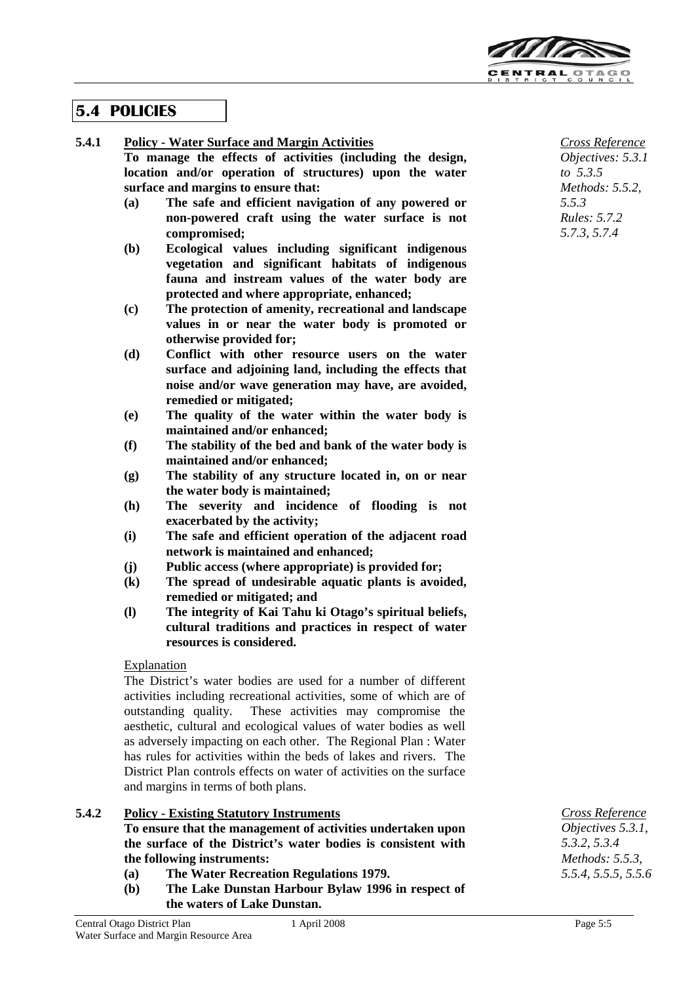

## **5.4 POLICIES**

### **5.4.1 Policy - Water Surface and Margin Activities**

**To manage the effects of activities (including the design, location and/or operation of structures) upon the water surface and margins to ensure that:**

- **(a) The safe and efficient navigation of any powered or non-powered craft using the water surface is not compromised;**
- **(b) Ecological values including significant indigenous vegetation and significant habitats of indigenous fauna and instream values of the water body are protected and where appropriate, enhanced;**
- **(c) The protection of amenity, recreational and landscape values in or near the water body is promoted or otherwise provided for;**
- **(d) Conflict with other resource users on the water surface and adjoining land, including the effects that noise and/or wave generation may have, are avoided, remedied or mitigated;**
- **(e) The quality of the water within the water body is maintained and/or enhanced;**
- **(f) The stability of the bed and bank of the water body is maintained and/or enhanced;**
- **(g) The stability of any structure located in, on or near the water body is maintained;**
- **(h) The severity and incidence of flooding is not exacerbated by the activity;**
- **(i) The safe and efficient operation of the adjacent road network is maintained and enhanced;**
- **(j) Public access (where appropriate) is provided for;**
- **(k) The spread of undesirable aquatic plants is avoided, remedied or mitigated; and**
- **(l) The integrity of Kai Tahu ki Otago's spiritual beliefs, cultural traditions and practices in respect of water resources is considered.**

## Explanation

The District's water bodies are used for a number of different activities including recreational activities, some of which are of outstanding quality. These activities may compromise the aesthetic, cultural and ecological values of water bodies as well as adversely impacting on each other. The Regional Plan : Water has rules for activities within the beds of lakes and rivers. The District Plan controls effects on water of activities on the surface and margins in terms of both plans.

## **5.4.2 Policy - Existing Statutory Instruments**

## **To ensure that the management of activities undertaken upon the surface of the District's water bodies is consistent with the following instruments:**

- **(a) The Water Recreation Regulations 1979.**
- **(b) The Lake Dunstan Harbour Bylaw 1996 in respect of the waters of Lake Dunstan.**

*Cross Reference Objectives: 5.3.1 to 5.3.5 Methods: 5.5.2, 5.5.3 Rules: 5.7.2 5.7.3, 5.7.4*

*Cross Reference Objectives 5.3.1, 5.3.2, 5.3.4 Methods: 5.5.3, 5.5.4, 5.5.5, 5.5.6*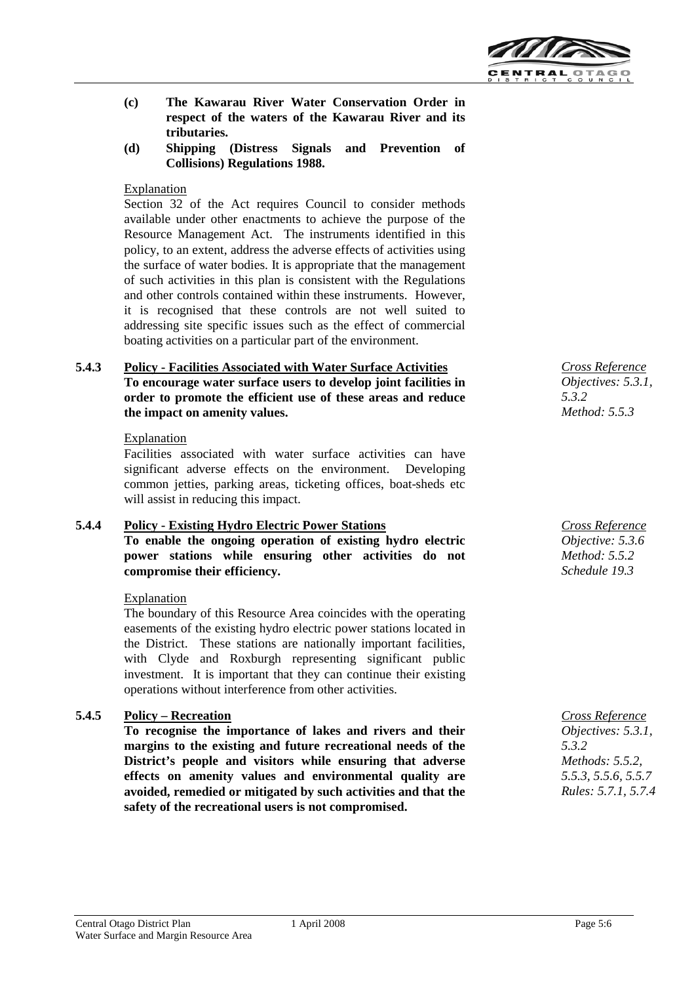

- **(c) The Kawarau River Water Conservation Order in respect of the waters of the Kawarau River and its tributaries.**
- **(d) Shipping (Distress Signals and Prevention of Collisions) Regulations 1988.**

### Explanation

Section 32 of the Act requires Council to consider methods available under other enactments to achieve the purpose of the Resource Management Act. The instruments identified in this policy, to an extent, address the adverse effects of activities using the surface of water bodies. It is appropriate that the management of such activities in this plan is consistent with the Regulations and other controls contained within these instruments. However, it is recognised that these controls are not well suited to addressing site specific issues such as the effect of commercial boating activities on a particular part of the environment.

### **5.4.3 Policy - Facilities Associated with Water Surface Activities To encourage water surface users to develop joint facilities in order to promote the efficient use of these areas and reduce the impact on amenity values.**

### Explanation

Facilities associated with water surface activities can have significant adverse effects on the environment. Developing common jetties, parking areas, ticketing offices, boat-sheds etc will assist in reducing this impact.

## **5.4.4 Policy - Existing Hydro Electric Power Stations To enable the ongoing operation of existing hydro electric**

**power stations while ensuring other activities do not compromise their efficiency.**

#### Explanation

The boundary of this Resource Area coincides with the operating easements of the existing hydro electric power stations located in the District. These stations are nationally important facilities, with Clyde and Roxburgh representing significant public investment. It is important that they can continue their existing operations without interference from other activities.

## **5.4.5 Policy – Recreation**

**To recognise the importance of lakes and rivers and their margins to the existing and future recreational needs of the District's people and visitors while ensuring that adverse effects on amenity values and environmental quality are avoided, remedied or mitigated by such activities and that the safety of the recreational users is not compromised.**

*Cross Reference Objectives: 5.3.1, 5.3.2 Method: 5.5.3*

*Cross Reference Objective: 5.3.6 Method: 5.5.2 Schedule 19.3*

*Cross Reference Objectives: 5.3.1, 5.3.2 Methods: 5.5.2, 5.5.3, 5.5.6, 5.5.7 Rules: 5.7.1, 5.7.4*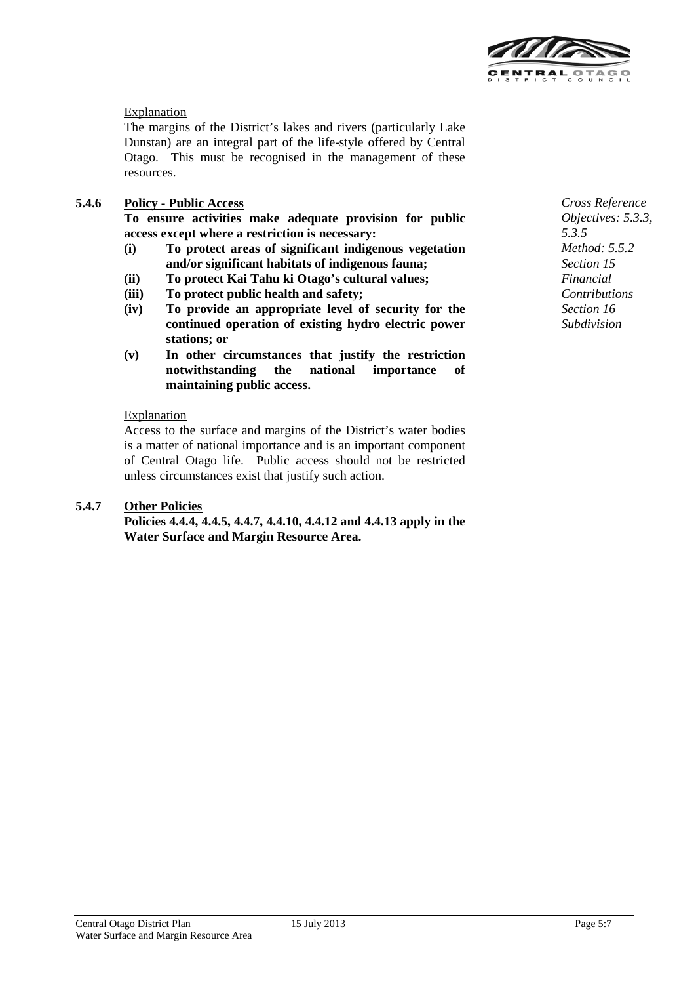

## **Explanation**

The margins of the District's lakes and rivers (particularly Lake Dunstan) are an integral part of the life-style offered by Central Otago. This must be recognised in the management of these resources.

## **5.4.6 Policy - Public Access**

**To ensure activities make adequate provision for public access except where a restriction is necessary:**

- **(i) To protect areas of significant indigenous vegetation and/or significant habitats of indigenous fauna;**
- **(ii) To protect Kai Tahu ki Otago's cultural values;**
- **(iii) To protect public health and safety;**
- **(iv) To provide an appropriate level of security for the continued operation of existing hydro electric power stations; or**
- **(v) In other circumstances that justify the restriction notwithstanding the national importance of maintaining public access.**

### Explanation

Access to the surface and margins of the District's water bodies is a matter of national importance and is an important component of Central Otago life. Public access should not be restricted unless circumstances exist that justify such action.

## **5.4.7 Other Policies**

**Policies 4.4.4, 4.4.5, 4.4.7, 4.4.10, 4.4.12 and 4.4.13 apply in the Water Surface and Margin Resource Area.**

*Cross Reference Objectives: 5.3.3, 5.3.5 Method: 5.5.2 Section 15 Financial Contributions Section 16 Subdivision*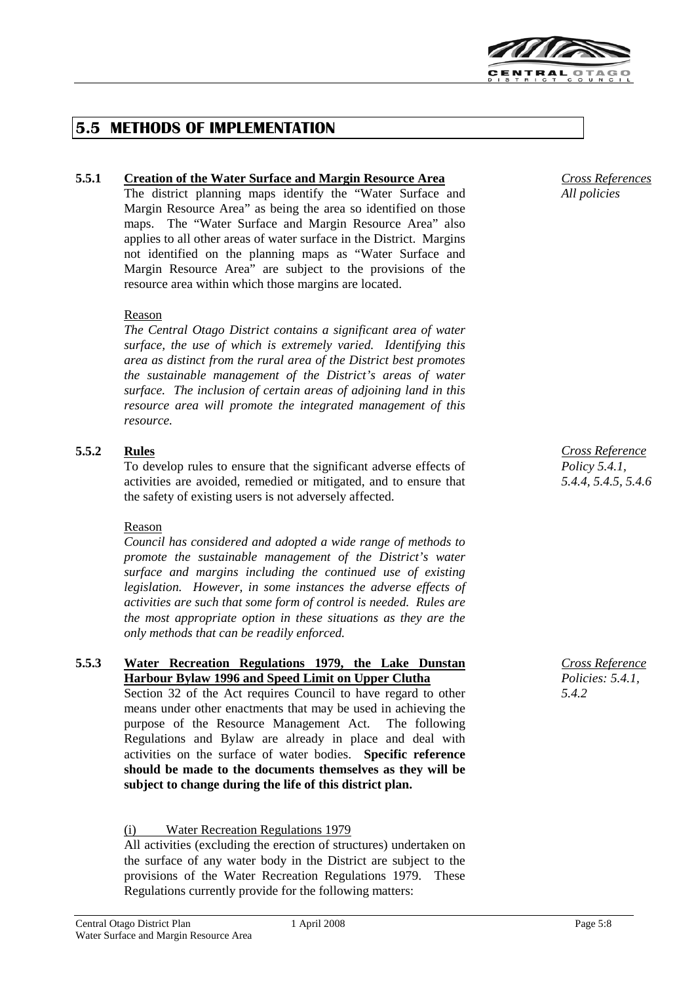

## **5.5 METHODS OF IMPLEMENTATION**

### **5.5.1 Creation of the Water Surface and Margin Resource Area**

The district planning maps identify the "Water Surface and Margin Resource Area" as being the area so identified on those maps. The "Water Surface and Margin Resource Area" also applies to all other areas of water surface in the District. Margins not identified on the planning maps as "Water Surface and Margin Resource Area" are subject to the provisions of the resource area within which those margins are located.

#### Reason

*The Central Otago District contains a significant area of water surface, the use of which is extremely varied. Identifying this area as distinct from the rural area of the District best promotes the sustainable management of the District's areas of water surface. The inclusion of certain areas of adjoining land in this resource area will promote the integrated management of this resource.*

### **5.5.2 Rules**

To develop rules to ensure that the significant adverse effects of activities are avoided, remedied or mitigated, and to ensure that the safety of existing users is not adversely affected.

#### Reason

*Council has considered and adopted a wide range of methods to promote the sustainable management of the District's water surface and margins including the continued use of existing legislation. However, in some instances the adverse effects of activities are such that some form of control is needed. Rules are the most appropriate option in these situations as they are the only methods that can be readily enforced.*

## **5.5.3 Water Recreation Regulations 1979, the Lake Dunstan Harbour Bylaw 1996 and Speed Limit on Upper Clutha**

Section 32 of the Act requires Council to have regard to other means under other enactments that may be used in achieving the purpose of the Resource Management Act. The following Regulations and Bylaw are already in place and deal with activities on the surface of water bodies. **Specific reference should be made to the documents themselves as they will be subject to change during the life of this district plan.**

#### (i) Water Recreation Regulations 1979

All activities (excluding the erection of structures) undertaken on the surface of any water body in the District are subject to the provisions of the Water Recreation Regulations 1979. These Regulations currently provide for the following matters:

*Cross Reference Policy 5.4.1, 5.4.4, 5.4.5, 5.4.6*

*Cross Reference Policies: 5.4.1, 5.4.2*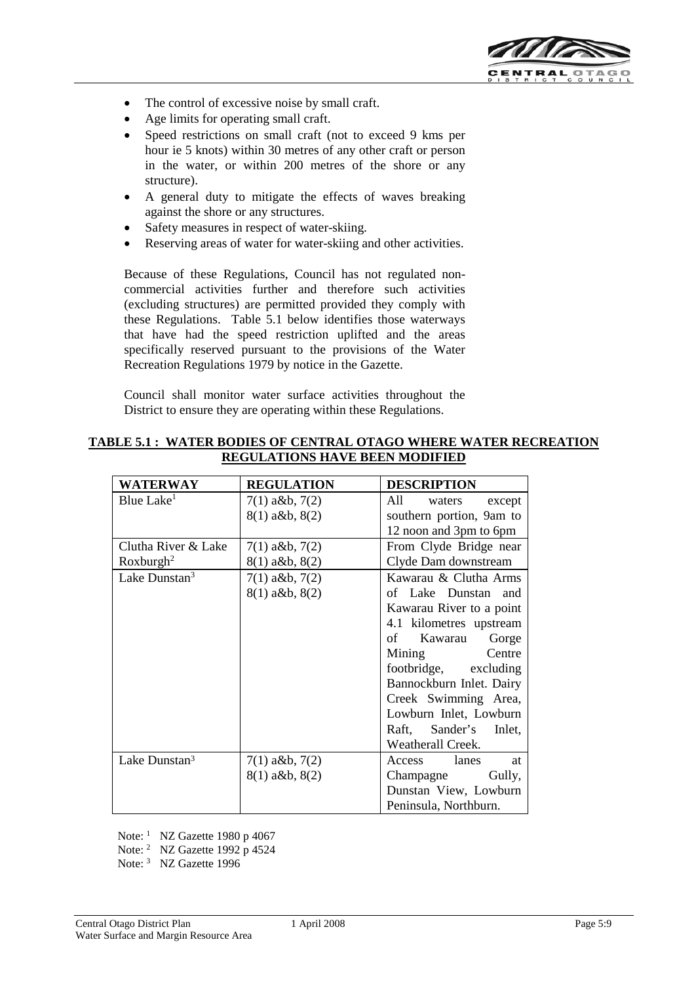

- The control of excessive noise by small craft.
- Age limits for operating small craft.
- Speed restrictions on small craft (not to exceed 9 kms per hour ie 5 knots) within 30 metres of any other craft or person in the water, or within 200 metres of the shore or any structure).
- A general duty to mitigate the effects of waves breaking against the shore or any structures.
- Safety measures in respect of water-skiing.
- Reserving areas of water for water-skiing and other activities.

Because of these Regulations, Council has not regulated noncommercial activities further and therefore such activities (excluding structures) are permitted provided they comply with these Regulations. Table 5.1 below identifies those waterways that have had the speed restriction uplifted and the areas specifically reserved pursuant to the provisions of the Water Recreation Regulations 1979 by notice in the Gazette.

Council shall monitor water surface activities throughout the District to ensure they are operating within these Regulations.

| <b>WATERWAY</b>           | <b>REGULATION</b>  | <b>DESCRIPTION</b>       |
|---------------------------|--------------------|--------------------------|
| Blue Lake <sup>1</sup>    | $7(1)$ a&b, $7(2)$ | All<br>waters<br>except  |
|                           | $8(1)$ a&b, $8(2)$ | southern portion, 9am to |
|                           |                    | 12 noon and 3pm to 6pm   |
| Clutha River & Lake       | $7(1)$ a&b, $7(2)$ | From Clyde Bridge near   |
| Roxburgh <sup>2</sup>     | $8(1)$ a&b, $8(2)$ | Clyde Dam downstream     |
| Lake Dunstan <sup>3</sup> | $7(1)$ a&b, $7(2)$ | Kawarau & Clutha Arms    |
|                           | $8(1)$ a&b, $8(2)$ | of Lake Dunstan and      |
|                           |                    | Kawarau River to a point |
|                           |                    | 4.1 kilometres upstream  |
|                           |                    | of Kawarau<br>Gorge      |
|                           |                    | Mining Centre            |
|                           |                    | footbridge, excluding    |
|                           |                    | Bannockburn Inlet. Dairy |
|                           |                    | Creek Swimming Area,     |
|                           |                    | Lowburn Inlet, Lowburn   |
|                           |                    | Raft, Sander's<br>Inlet, |
|                           |                    | Weatherall Creek.        |
| Lake Dunstan <sup>3</sup> | $7(1)$ a&b, $7(2)$ | Access lanes<br>at       |
|                           | $8(1)$ a&b, $8(2)$ | Champagne<br>Gully,      |
|                           |                    | Dunstan View, Lowburn    |
|                           |                    | Peninsula, Northburn.    |

#### **TABLE 5.1 : WATER BODIES OF CENTRAL OTAGO WHERE WATER RECREATION REGULATIONS HAVE BEEN MODIFIED**

Note: <sup>1</sup> NZ Gazette 1980 p 4067

Note: <sup>2</sup> NZ Gazette 1992 p 4524

Note: <sup>3</sup> NZ Gazette 1996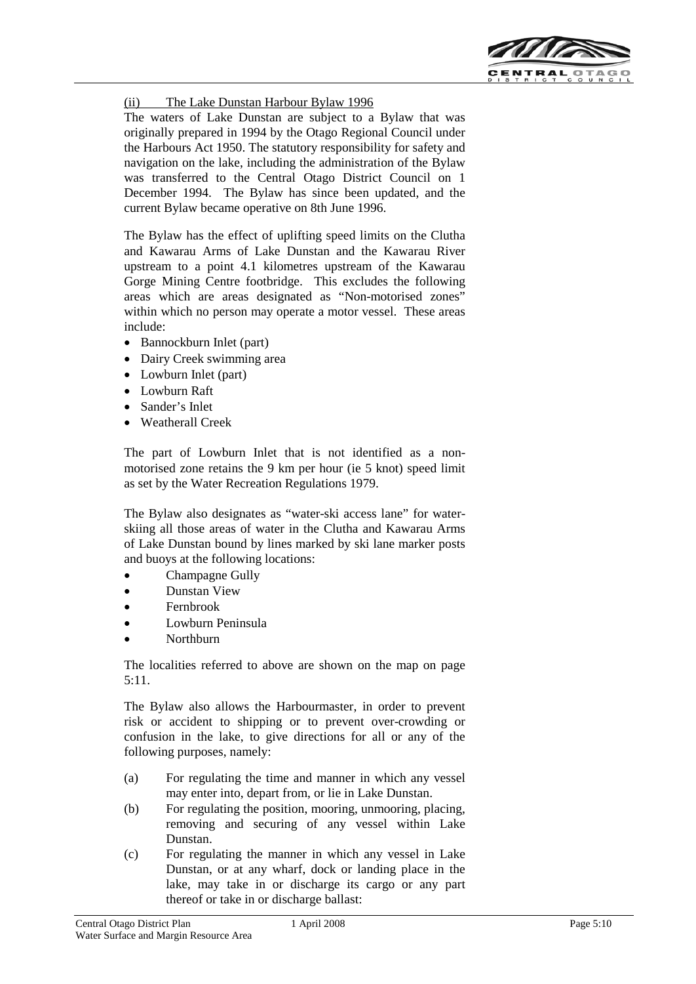

(ii) The Lake Dunstan Harbour Bylaw 1996

The waters of Lake Dunstan are subject to a Bylaw that was originally prepared in 1994 by the Otago Regional Council under the Harbours Act 1950. The statutory responsibility for safety and navigation on the lake, including the administration of the Bylaw was transferred to the Central Otago District Council on 1 December 1994. The Bylaw has since been updated, and the current Bylaw became operative on 8th June 1996.

The Bylaw has the effect of uplifting speed limits on the Clutha and Kawarau Arms of Lake Dunstan and the Kawarau River upstream to a point 4.1 kilometres upstream of the Kawarau Gorge Mining Centre footbridge. This excludes the following areas which are areas designated as "Non-motorised zones" within which no person may operate a motor vessel. These areas include:

- Bannockburn Inlet (part)
- Dairy Creek swimming area
- Lowburn Inlet (part)
- Lowburn Raft
- Sander's Inlet
- Weatherall Creek

The part of Lowburn Inlet that is not identified as a nonmotorised zone retains the 9 km per hour (ie 5 knot) speed limit as set by the Water Recreation Regulations 1979.

The Bylaw also designates as "water-ski access lane" for waterskiing all those areas of water in the Clutha and Kawarau Arms of Lake Dunstan bound by lines marked by ski lane marker posts and buoys at the following locations:

- Champagne Gully
- Dunstan View
- Fernbrook
- Lowburn Peninsula
- Northburn

The localities referred to above are shown on the map on page  $5:11$ 

The Bylaw also allows the Harbourmaster, in order to prevent risk or accident to shipping or to prevent over-crowding or confusion in the lake, to give directions for all or any of the following purposes, namely:

- (a) For regulating the time and manner in which any vessel may enter into, depart from, or lie in Lake Dunstan.
- (b) For regulating the position, mooring, unmooring, placing, removing and securing of any vessel within Lake Dunstan.
- (c) For regulating the manner in which any vessel in Lake Dunstan, or at any wharf, dock or landing place in the lake, may take in or discharge its cargo or any part thereof or take in or discharge ballast: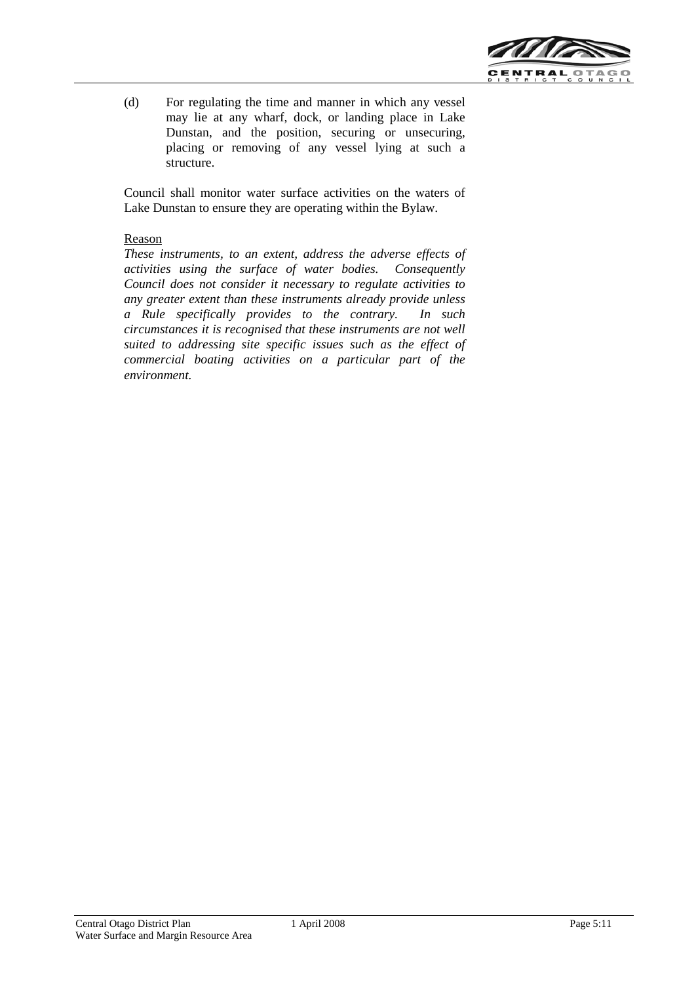

(d) For regulating the time and manner in which any vessel may lie at any wharf, dock, or landing place in Lake Dunstan, and the position, securing or unsecuring, placing or removing of any vessel lying at such a structure.

Council shall monitor water surface activities on the waters of Lake Dunstan to ensure they are operating within the Bylaw.

### Reason

*These instruments, to an extent, address the adverse effects of activities using the surface of water bodies. Consequently Council does not consider it necessary to regulate activities to any greater extent than these instruments already provide unless a Rule specifically provides to the contrary. In such circumstances it is recognised that these instruments are not well suited to addressing site specific issues such as the effect of commercial boating activities on a particular part of the environment.*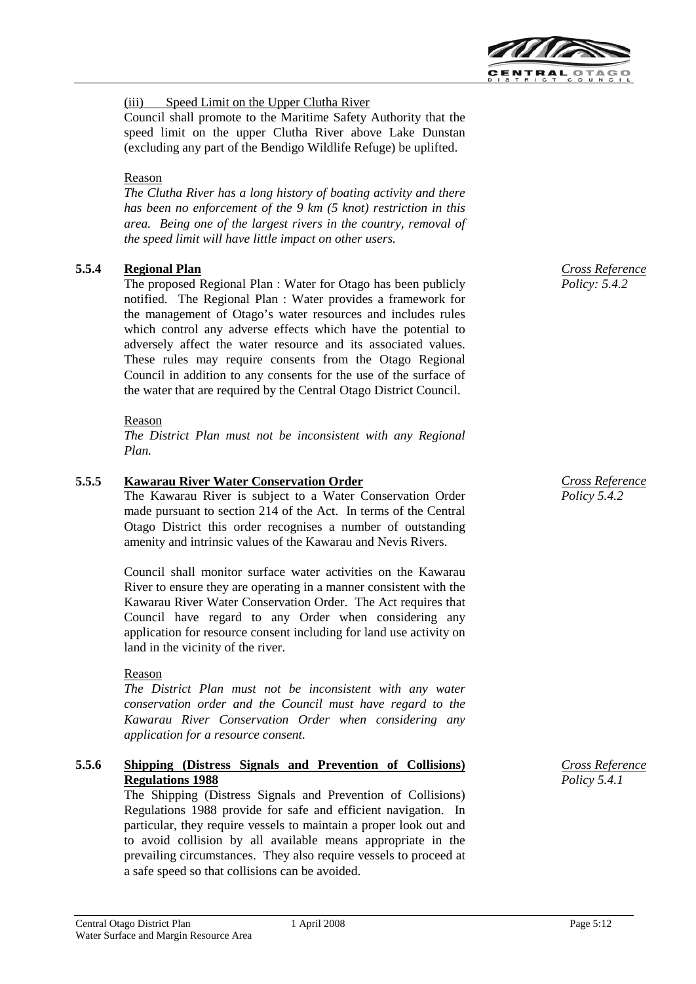

(iii) Speed Limit on the Upper Clutha River

Council shall promote to the Maritime Safety Authority that the speed limit on the upper Clutha River above Lake Dunstan (excluding any part of the Bendigo Wildlife Refuge) be uplifted.

### Reason

*The Clutha River has a long history of boating activity and there has been no enforcement of the 9 km (5 knot) restriction in this area. Being one of the largest rivers in the country, removal of the speed limit will have little impact on other users.*

## **5.5.4 Regional Plan**

The proposed Regional Plan : Water for Otago has been publicly notified. The Regional Plan : Water provides a framework for the management of Otago's water resources and includes rules which control any adverse effects which have the potential to adversely affect the water resource and its associated values. These rules may require consents from the Otago Regional Council in addition to any consents for the use of the surface of the water that are required by the Central Otago District Council.

### Reason

*The District Plan must not be inconsistent with any Regional Plan.*

## **5.5.5 Kawarau River Water Conservation Order**

The Kawarau River is subject to a Water Conservation Order made pursuant to section 214 of the Act. In terms of the Central Otago District this order recognises a number of outstanding amenity and intrinsic values of the Kawarau and Nevis Rivers.

Council shall monitor surface water activities on the Kawarau River to ensure they are operating in a manner consistent with the Kawarau River Water Conservation Order. The Act requires that Council have regard to any Order when considering any application for resource consent including for land use activity on land in the vicinity of the river.

## Reason

*The District Plan must not be inconsistent with any water conservation order and the Council must have regard to the Kawarau River Conservation Order when considering any application for a resource consent.*

### **5.5.6 Shipping (Distress Signals and Prevention of Collisions) Regulations 1988**

The Shipping (Distress Signals and Prevention of Collisions) Regulations 1988 provide for safe and efficient navigation. In particular, they require vessels to maintain a proper look out and to avoid collision by all available means appropriate in the prevailing circumstances. They also require vessels to proceed at a safe speed so that collisions can be avoided.

*Cross Reference Policy: 5.4.2* 

*Cross Reference Policy 5.4.2*

*Cross Reference Policy 5.4.1*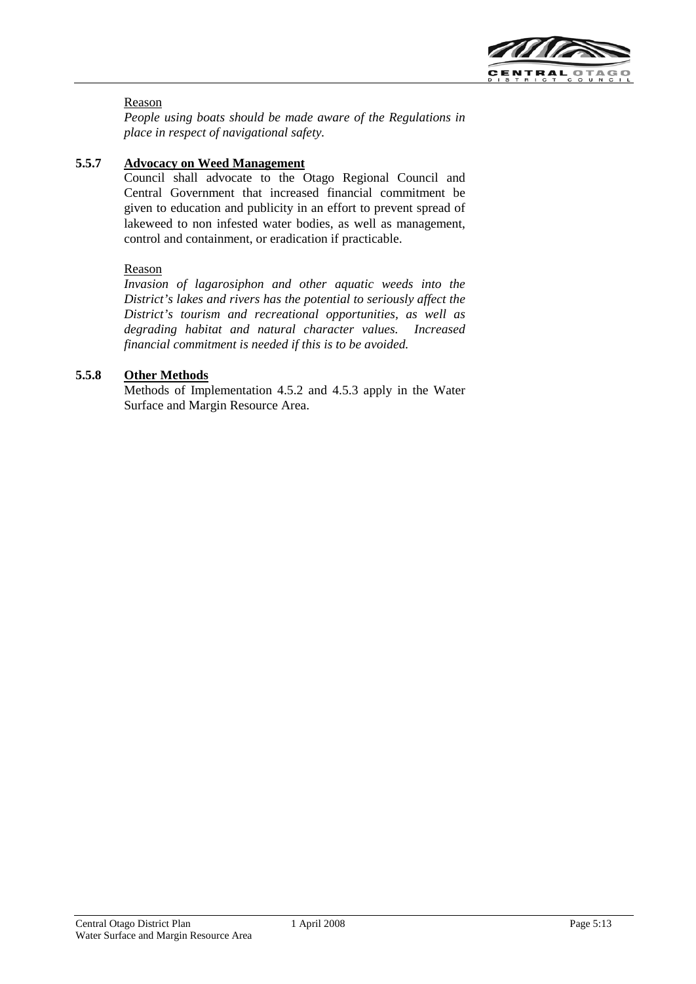

## Reason

*People using boats should be made aware of the Regulations in place in respect of navigational safety.*

## **5.5.7 Advocacy on Weed Management**

Council shall advocate to the Otago Regional Council and Central Government that increased financial commitment be given to education and publicity in an effort to prevent spread of lakeweed to non infested water bodies, as well as management, control and containment, or eradication if practicable.

#### Reason

*Invasion of lagarosiphon and other aquatic weeds into the District's lakes and rivers has the potential to seriously affect the District's tourism and recreational opportunities, as well as degrading habitat and natural character values. Increased financial commitment is needed if this is to be avoided.*

### **5.5.8 Other Methods**

Methods of Implementation 4.5.2 and 4.5.3 apply in the Water Surface and Margin Resource Area.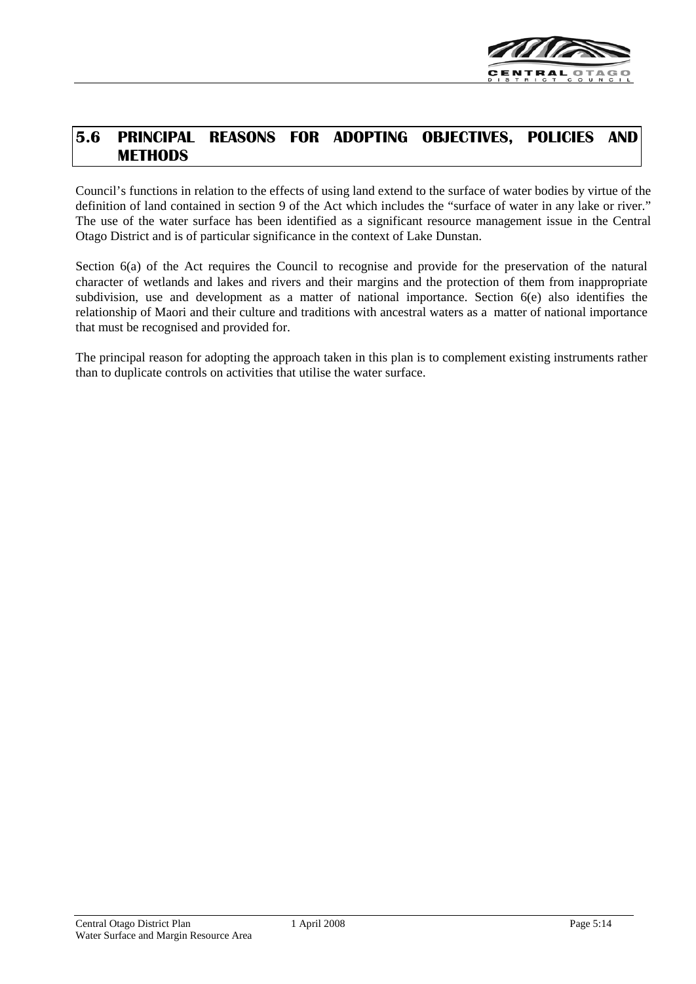

## **5.6 PRINCIPAL REASONS FOR ADOPTING OBJECTIVES, POLICIES AND METHODS**

Council's functions in relation to the effects of using land extend to the surface of water bodies by virtue of the definition of land contained in section 9 of the Act which includes the "surface of water in any lake or river." The use of the water surface has been identified as a significant resource management issue in the Central Otago District and is of particular significance in the context of Lake Dunstan.

Section 6(a) of the Act requires the Council to recognise and provide for the preservation of the natural character of wetlands and lakes and rivers and their margins and the protection of them from inappropriate subdivision, use and development as a matter of national importance. Section 6(e) also identifies the relationship of Maori and their culture and traditions with ancestral waters as a matter of national importance that must be recognised and provided for.

The principal reason for adopting the approach taken in this plan is to complement existing instruments rather than to duplicate controls on activities that utilise the water surface.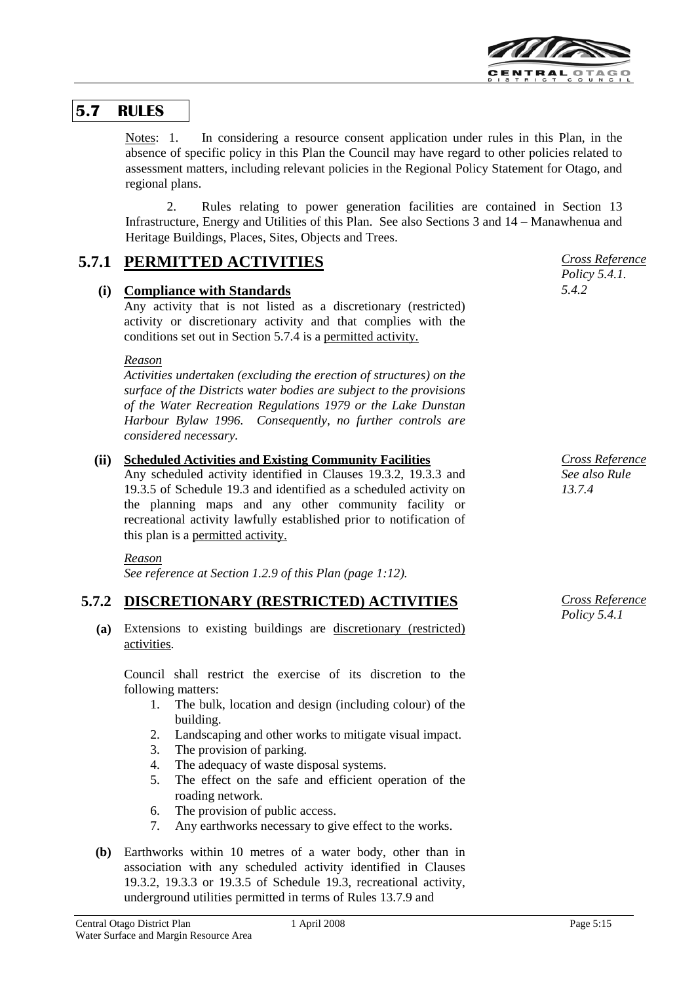

## **5.7 RULES**

Notes: 1. In considering a resource consent application under rules in this Plan, in the absence of specific policy in this Plan the Council may have regard to other policies related to assessment matters, including relevant policies in the Regional Policy Statement for Otago, and regional plans.

2. Rules relating to power generation facilities are contained in Section 13 Infrastructure, Energy and Utilities of this Plan. See also Sections 3 and 14 – Manawhenua and Heritage Buildings, Places, Sites, Objects and Trees.

## **5.7.1 PERMITTED ACTIVITIES**

## **(i) Compliance with Standards**

Any activity that is not listed as a discretionary (restricted) activity or discretionary activity and that complies with the conditions set out in Section 5.7.4 is a permitted activity.

#### *Reason*

*Activities undertaken (excluding the erection of structures) on the surface of the Districts water bodies are subject to the provisions of the Water Recreation Regulations 1979 or the Lake Dunstan Harbour Bylaw 1996. Consequently, no further controls are considered necessary.*

## **(ii) Scheduled Activities and Existing Community Facilities**

Any scheduled activity identified in Clauses 19.3.2, 19.3.3 and 19.3.5 of Schedule 19.3 and identified as a scheduled activity on the planning maps and any other community facility or recreational activity lawfully established prior to notification of this plan is a permitted activity.

#### *Reason*

*See reference at Section 1.2.9 of this Plan (page 1:12).*

## **5.7.2 DISCRETIONARY (RESTRICTED) ACTIVITIES**

**(a)** Extensions to existing buildings are discretionary (restricted) activities.

Council shall restrict the exercise of its discretion to the following matters:

- 1. The bulk, location and design (including colour) of the building.
- 2. Landscaping and other works to mitigate visual impact.
- 3. The provision of parking.
- 4. The adequacy of waste disposal systems.
- 5. The effect on the safe and efficient operation of the roading network.
- 6. The provision of public access.
- 7. Any earthworks necessary to give effect to the works.
- **(b)** Earthworks within 10 metres of a water body, other than in association with any scheduled activity identified in Clauses 19.3.2, 19.3.3 or 19.3.5 of Schedule 19.3, recreational activity, underground utilities permitted in terms of Rules 13.7.9 and



*Cross Reference See also Rule 13.7.4*

*Cross Reference Policy 5.4.1*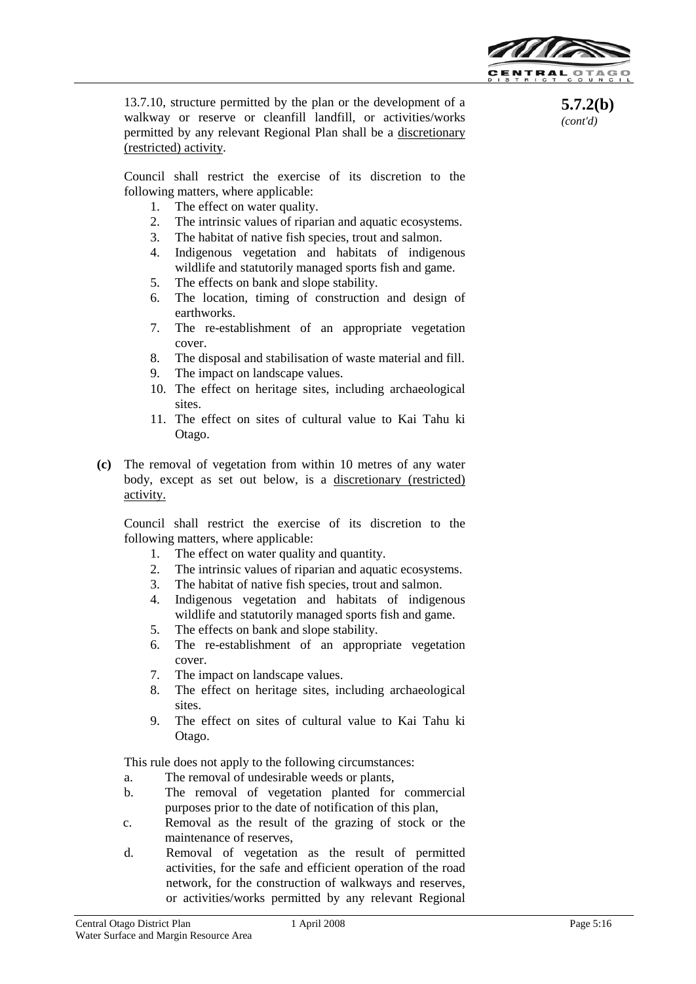

**5.7.2(b)**  *(cont'd)*

13.7.10, structure permitted by the plan or the development of a walkway or reserve or cleanfill landfill, or activities/works permitted by any relevant Regional Plan shall be a discretionary (restricted) activity.

Council shall restrict the exercise of its discretion to the following matters, where applicable:

- 1. The effect on water quality.
- 2. The intrinsic values of riparian and aquatic ecosystems.
- 3. The habitat of native fish species, trout and salmon.
- 4. Indigenous vegetation and habitats of indigenous wildlife and statutorily managed sports fish and game.
- 5. The effects on bank and slope stability.
- 6. The location, timing of construction and design of earthworks.
- 7. The re-establishment of an appropriate vegetation cover.
- 8. The disposal and stabilisation of waste material and fill.
- 9. The impact on landscape values.
- 10. The effect on heritage sites, including archaeological sites.
- 11. The effect on sites of cultural value to Kai Tahu ki Otago.
- **(c)** The removal of vegetation from within 10 metres of any water body, except as set out below, is a discretionary (restricted) activity.

Council shall restrict the exercise of its discretion to the following matters, where applicable:

- 1. The effect on water quality and quantity.
- 2. The intrinsic values of riparian and aquatic ecosystems.
- 3. The habitat of native fish species, trout and salmon.
- 4. Indigenous vegetation and habitats of indigenous wildlife and statutorily managed sports fish and game.
- 5. The effects on bank and slope stability.
- 6. The re-establishment of an appropriate vegetation cover.
- 7. The impact on landscape values.
- 8. The effect on heritage sites, including archaeological sites.
- 9. The effect on sites of cultural value to Kai Tahu ki Otago.

This rule does not apply to the following circumstances:

- a. The removal of undesirable weeds or plants,
- b. The removal of vegetation planted for commercial purposes prior to the date of notification of this plan,
- c. Removal as the result of the grazing of stock or the maintenance of reserves,
- d. Removal of vegetation as the result of permitted activities, for the safe and efficient operation of the road network, for the construction of walkways and reserves, or activities/works permitted by any relevant Regional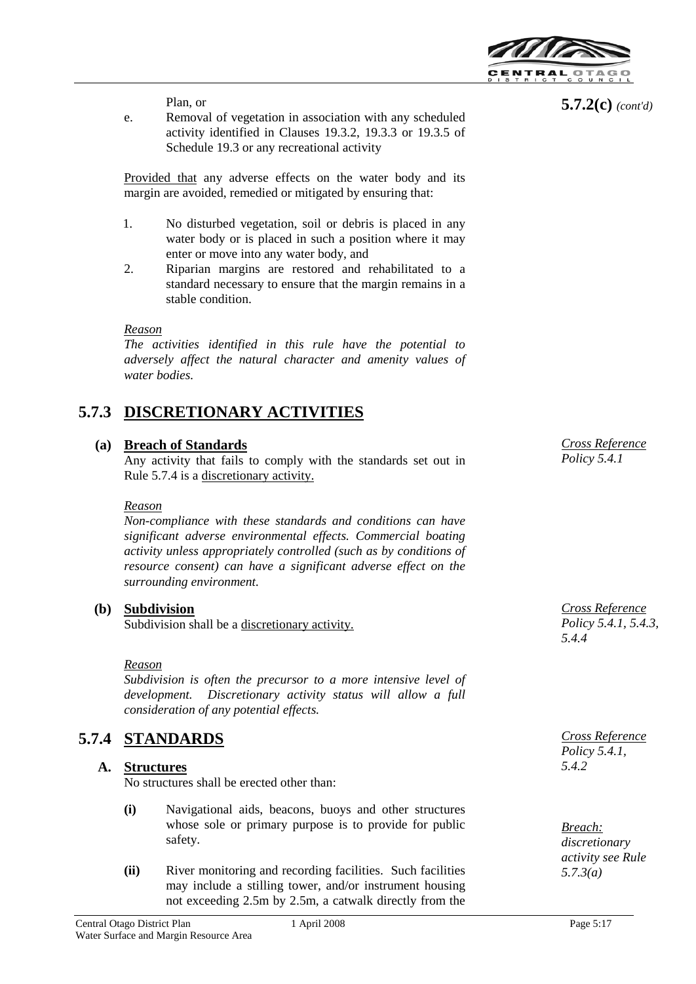

Plan, or

e. Removal of vegetation in association with any scheduled activity identified in Clauses 19.3.2, 19.3.3 or 19.3.5 of Schedule 19.3 or any recreational activity

Provided that any adverse effects on the water body and its margin are avoided, remedied or mitigated by ensuring that:

- 1. No disturbed vegetation, soil or debris is placed in any water body or is placed in such a position where it may enter or move into any water body, and
- 2. Riparian margins are restored and rehabilitated to a standard necessary to ensure that the margin remains in a stable condition.

#### *Reason*

*The activities identified in this rule have the potential to adversely affect the natural character and amenity values of water bodies.* 

## **5.7.3 DISCRETIONARY ACTIVITIES**

## **(a) Breach of Standards**

Any activity that fails to comply with the standards set out in Rule 5.7.4 is a discretionary activity.

#### *Reason*

*Non-compliance with these standards and conditions can have significant adverse environmental effects. Commercial boating activity unless appropriately controlled (such as by conditions of resource consent) can have a significant adverse effect on the surrounding environment.*

## **(b) Subdivision**

Subdivision shall be a discretionary activity.

#### *Reason*

*Subdivision is often the precursor to a more intensive level of development. Discretionary activity status will allow a full consideration of any potential effects.*

## **5.7.4 STANDARDS** *Cross Reference*

## **A. Structures**

No structures shall be erected other than:

- **(i)** Navigational aids, beacons, buoys and other structures whose sole or primary purpose is to provide for public safety.
- **(ii)** River monitoring and recording facilities. Such facilities may include a stilling tower, and/or instrument housing not exceeding 2.5m by 2.5m, a catwalk directly from the

**5.7.2(c)** *(cont'd)*

*Cross Reference Policy 5.4.1*

*Cross Reference Policy 5.4.1, 5.4.3, 5.4.4*

*Policy 5.4.1, 5.4.2*

*Breach: discretionary activity see Rule 5.7.3(a)*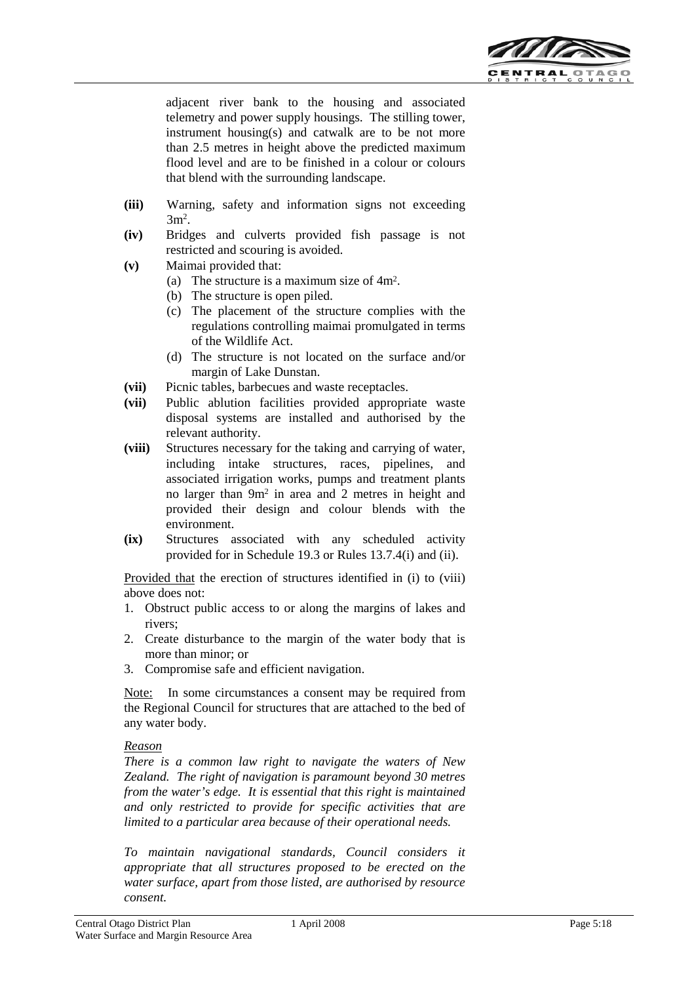

adjacent river bank to the housing and associated telemetry and power supply housings. The stilling tower, instrument housing(s) and catwalk are to be not more than 2.5 metres in height above the predicted maximum flood level and are to be finished in a colour or colours that blend with the surrounding landscape.

- **(iii)** Warning, safety and information signs not exceeding  $3m^2$ .
- **(iv)** Bridges and culverts provided fish passage is not restricted and scouring is avoided.
- **(v)** Maimai provided that:
	- (a) The structure is a maximum size of 4m2.
	- (b) The structure is open piled.
	- (c) The placement of the structure complies with the regulations controlling maimai promulgated in terms of the Wildlife Act.
	- (d) The structure is not located on the surface and/or margin of Lake Dunstan.
- **(vii)** Picnic tables, barbecues and waste receptacles.
- **(vii)** Public ablution facilities provided appropriate waste disposal systems are installed and authorised by the relevant authority.
- **(viii)** Structures necessary for the taking and carrying of water, including intake structures, races, pipelines, and associated irrigation works, pumps and treatment plants no larger than 9m2 in area and 2 metres in height and provided their design and colour blends with the environment.
- **(ix)** Structures associated with any scheduled activity provided for in Schedule 19.3 or Rules 13.7.4(i) and (ii).

Provided that the erection of structures identified in (i) to (viii) above does not:

- 1. Obstruct public access to or along the margins of lakes and rivers;
- 2. Create disturbance to the margin of the water body that is more than minor; or
- 3. Compromise safe and efficient navigation.

Note: In some circumstances a consent may be required from the Regional Council for structures that are attached to the bed of any water body.

#### *Reason*

*There is a common law right to navigate the waters of New Zealand. The right of navigation is paramount beyond 30 metres from the water's edge. It is essential that this right is maintained and only restricted to provide for specific activities that are limited to a particular area because of their operational needs.*

*To maintain navigational standards, Council considers it appropriate that all structures proposed to be erected on the water surface, apart from those listed, are authorised by resource consent.*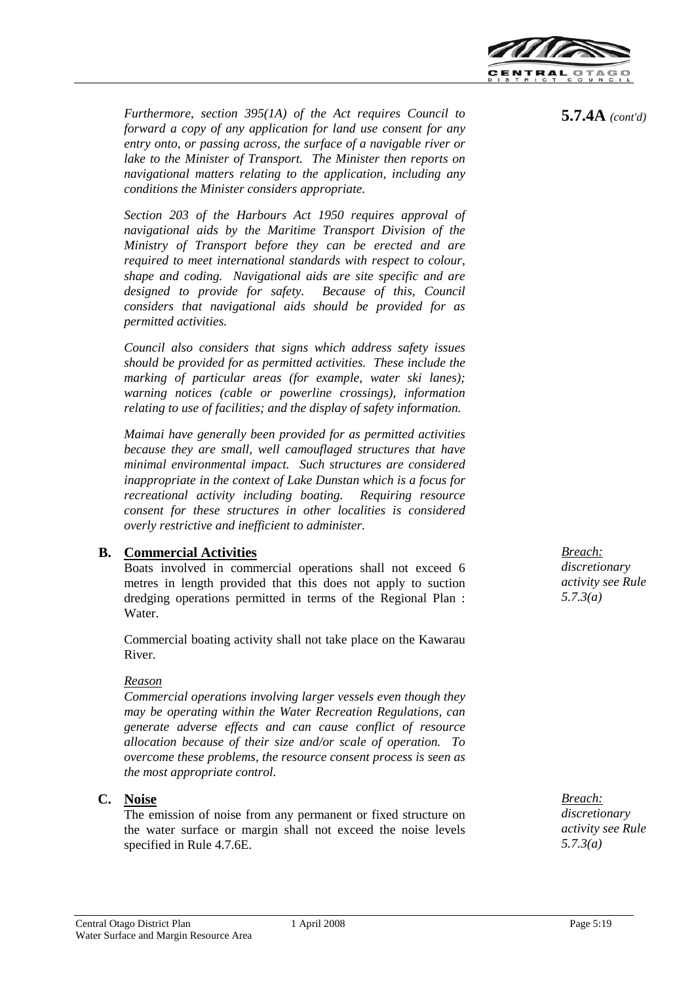

*Furthermore, section 395(1A) of the Act requires Council to forward a copy of any application for land use consent for any entry onto, or passing across, the surface of a navigable river or lake to the Minister of Transport. The Minister then reports on navigational matters relating to the application, including any conditions the Minister considers appropriate.*

*Section 203 of the Harbours Act 1950 requires approval of navigational aids by the Maritime Transport Division of the Ministry of Transport before they can be erected and are required to meet international standards with respect to colour, shape and coding. Navigational aids are site specific and are designed to provide for safety. Because of this, Council considers that navigational aids should be provided for as permitted activities.*

*Council also considers that signs which address safety issues should be provided for as permitted activities. These include the marking of particular areas (for example, water ski lanes); warning notices (cable or powerline crossings), information relating to use of facilities; and the display of safety information.*

*Maimai have generally been provided for as permitted activities because they are small, well camouflaged structures that have minimal environmental impact. Such structures are considered inappropriate in the context of Lake Dunstan which is a focus for recreational activity including boating. Requiring resource consent for these structures in other localities is considered overly restrictive and inefficient to administer.*

## **B. Commercial Activities**

Boats involved in commercial operations shall not exceed 6 metres in length provided that this does not apply to suction dredging operations permitted in terms of the Regional Plan : Water.

Commercial boating activity shall not take place on the Kawarau River.

## *Reason*

*Commercial operations involving larger vessels even though they may be operating within the Water Recreation Regulations, can generate adverse effects and can cause conflict of resource allocation because of their size and/or scale of operation. To overcome these problems, the resource consent process is seen as the most appropriate control.*

## **C. Noise**

The emission of noise from any permanent or fixed structure on the water surface or margin shall not exceed the noise levels specified in Rule 4.7.6E.

*Breach: discretionary activity see Rule 5.7.3(a)*

*Breach: discretionary activity see Rule 5.7.3(a)*

**5.7.4A** *(cont'd)*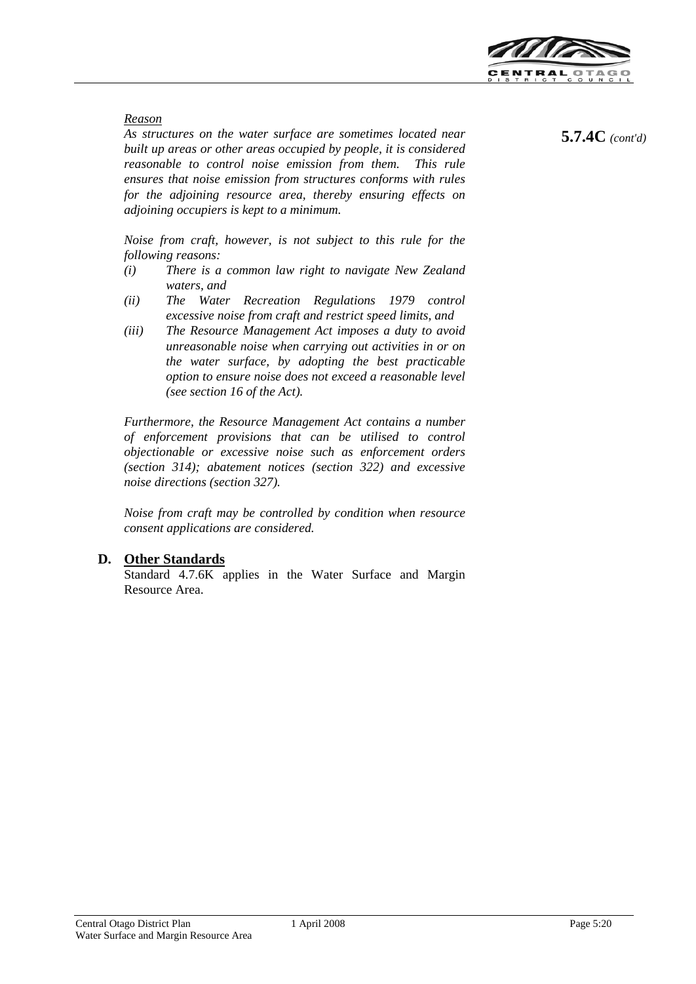

#### *Reason*

*As structures on the water surface are sometimes located near built up areas or other areas occupied by people, it is considered reasonable to control noise emission from them. This rule ensures that noise emission from structures conforms with rules for the adjoining resource area, thereby ensuring effects on adjoining occupiers is kept to a minimum.*

*Noise from craft, however, is not subject to this rule for the following reasons:*

- *(i) There is a common law right to navigate New Zealand waters, and*
- *(ii) The Water Recreation Regulations 1979 control excessive noise from craft and restrict speed limits, and*
- *(iii) The Resource Management Act imposes a duty to avoid unreasonable noise when carrying out activities in or on the water surface, by adopting the best practicable option to ensure noise does not exceed a reasonable level (see section 16 of the Act).*

*Furthermore, the Resource Management Act contains a number of enforcement provisions that can be utilised to control objectionable or excessive noise such as enforcement orders (section 314); abatement notices (section 322) and excessive noise directions (section 327).*

*Noise from craft may be controlled by condition when resource consent applications are considered.*

## **D. Other Standards**

Standard 4.7.6K applies in the Water Surface and Margin Resource Area.

**5.7.4C** *(cont'd)*